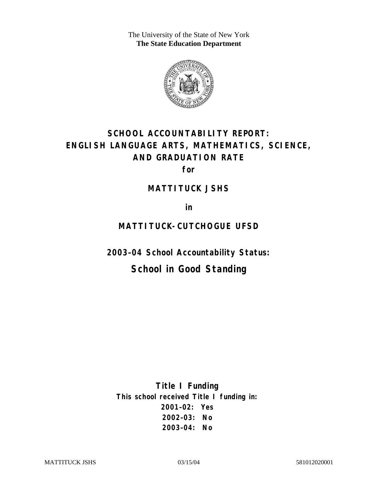The University of the State of New York **The State Education Department** 



# **SCHOOL ACCOUNTABILITY REPORT: ENGLISH LANGUAGE ARTS, MATHEMATICS, SCIENCE, AND GRADUATION RATE**

**for** 

#### **MATTITUCK JSHS**

**in** 

### **MATTITUCK-CUTCHOGUE UFSD**

**2003–04 School Accountability Status:** 

## **School in Good Standing**

**Title I Funding This school received Title I funding in: 2001–02: Yes 2002–03: No 2003–04: No**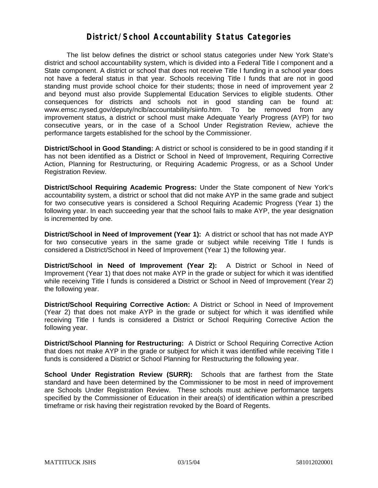#### **District/School Accountability Status Categories**

The list below defines the district or school status categories under New York State's district and school accountability system, which is divided into a Federal Title I component and a State component. A district or school that does not receive Title I funding in a school year does not have a federal status in that year. Schools receiving Title I funds that are not in good standing must provide school choice for their students; those in need of improvement year 2 and beyond must also provide Supplemental Education Services to eligible students. Other consequences for districts and schools not in good standing can be found at: www.emsc.nysed.gov/deputy/nclb/accountability/siinfo.htm. To be removed from any improvement status, a district or school must make Adequate Yearly Progress (AYP) for two consecutive years, or in the case of a School Under Registration Review, achieve the performance targets established for the school by the Commissioner.

**District/School in Good Standing:** A district or school is considered to be in good standing if it has not been identified as a District or School in Need of Improvement, Requiring Corrective Action, Planning for Restructuring, or Requiring Academic Progress, or as a School Under Registration Review.

**District/School Requiring Academic Progress:** Under the State component of New York's accountability system, a district or school that did not make AYP in the same grade and subject for two consecutive years is considered a School Requiring Academic Progress (Year 1) the following year. In each succeeding year that the school fails to make AYP, the year designation is incremented by one.

**District/School in Need of Improvement (Year 1):** A district or school that has not made AYP for two consecutive years in the same grade or subject while receiving Title I funds is considered a District/School in Need of Improvement (Year 1) the following year.

**District/School in Need of Improvement (Year 2):** A District or School in Need of Improvement (Year 1) that does not make AYP in the grade or subject for which it was identified while receiving Title I funds is considered a District or School in Need of Improvement (Year 2) the following year.

**District/School Requiring Corrective Action:** A District or School in Need of Improvement (Year 2) that does not make AYP in the grade or subject for which it was identified while receiving Title I funds is considered a District or School Requiring Corrective Action the following year.

**District/School Planning for Restructuring:** A District or School Requiring Corrective Action that does not make AYP in the grade or subject for which it was identified while receiving Title I funds is considered a District or School Planning for Restructuring the following year.

**School Under Registration Review (SURR):** Schools that are farthest from the State standard and have been determined by the Commissioner to be most in need of improvement are Schools Under Registration Review. These schools must achieve performance targets specified by the Commissioner of Education in their area(s) of identification within a prescribed timeframe or risk having their registration revoked by the Board of Regents.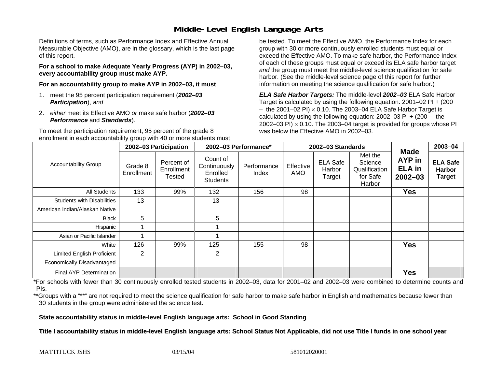### **Middle-Level English Language Arts**

Definitions of terms, such as Performance Index and Effective Annual Measurable Objective (AMO), are in the glossary, which is the last page of this report.

**For a school to make Adequate Yearly Progress (AYP) in 2002–03, every accountability group must make AYP.** 

**For an accountability group to make AYP in 2002–03, it must** 

- 1. meet the 95 percent participation requirement (*2002–03 Participation*), *and*
- 2. *either* meet its Effective AMO *or* make safe harbor (*2002–03 Performance* and *Standards*).

To meet the participation requirement, 95 percent of the grade 8 enrollment in each accountability group with 40 or more students must

be tested. To meet the Effective AMO, the Performance Index for each group with 30 or more continuously enrolled students must equal or exceed the Effective AMO. To make safe harbor, the Performance Index of each of these groups must equal or exceed its ELA safe harbor target *and* the group must meet the middle-level science qualification for safe harbor. (See the middle-level science page of this report for further information on meeting the science qualification for safe harbor.)

*ELA Safe Harbor Targets:* The middle-level *2002–03* ELA Safe Harbor Target is calculated by using the following equation: 2001–02 PI + (200  $-$  the 2001–02 PI)  $\times$  0.10. The 2003–04 ELA Safe Harbor Target is  $\,$ calculated by using the following equation:  $2002-03$  PI +  $(200 -$  the 2002–03 PI)  $\times$  0.10. The 2003–04 target is provided for groups whose PI was below the Effective AMO in 2002–03.

| <b>Accountability Group</b>       | 2002-03 Participation |                                    | 2002-03 Performance*                                    |                      | 2002-03 Standards |                                     |                                                           |                                                              | 2003-04                                           |
|-----------------------------------|-----------------------|------------------------------------|---------------------------------------------------------|----------------------|-------------------|-------------------------------------|-----------------------------------------------------------|--------------------------------------------------------------|---------------------------------------------------|
|                                   | Grade 8<br>Enrollment | Percent of<br>Enrollment<br>Tested | Count of<br>Continuously<br>Enrolled<br><b>Students</b> | Performance<br>Index | Effective<br>AMO  | <b>ELA Safe</b><br>Harbor<br>Target | Met the<br>Science<br>Qualification<br>for Safe<br>Harbor | <b>Made</b><br><b>AYP</b> in<br><b>ELA</b> in<br>$2002 - 03$ | <b>ELA Safe</b><br><b>Harbor</b><br><b>Target</b> |
| <b>All Students</b>               | 133                   | 99%                                | 132                                                     | 156                  | 98                |                                     |                                                           | <b>Yes</b>                                                   |                                                   |
| <b>Students with Disabilities</b> | 13                    |                                    | 13                                                      |                      |                   |                                     |                                                           |                                                              |                                                   |
| American Indian/Alaskan Native    |                       |                                    |                                                         |                      |                   |                                     |                                                           |                                                              |                                                   |
| Black                             | 5                     |                                    | 5                                                       |                      |                   |                                     |                                                           |                                                              |                                                   |
| Hispanic                          |                       |                                    |                                                         |                      |                   |                                     |                                                           |                                                              |                                                   |
| Asian or Pacific Islander         |                       |                                    |                                                         |                      |                   |                                     |                                                           |                                                              |                                                   |
| White                             | 126                   | 99%                                | 125                                                     | 155                  | 98                |                                     |                                                           | <b>Yes</b>                                                   |                                                   |
| Limited English Proficient        | $\overline{2}$        |                                    | $\overline{2}$                                          |                      |                   |                                     |                                                           |                                                              |                                                   |
| Economically Disadvantaged        |                       |                                    |                                                         |                      |                   |                                     |                                                           |                                                              |                                                   |
| <b>Final AYP Determination</b>    |                       |                                    |                                                         |                      |                   |                                     |                                                           | <b>Yes</b>                                                   |                                                   |

\*For schools with fewer than 30 continuously enrolled tested students in 2002–03, data for 2001–02 and 2002–03 were combined to determine counts and PIs.

\*\*Groups with a "\*\*" are not required to meet the science qualification for safe harbor to make safe harbor in English and mathematics because fewer than 30 students in the group were administered the science test.

**State accountability status in middle-level English language arts: School in Good Standing** 

Title I accountability status in middle-level English language arts: School Status Not Applicable, did not use Title I funds in one school year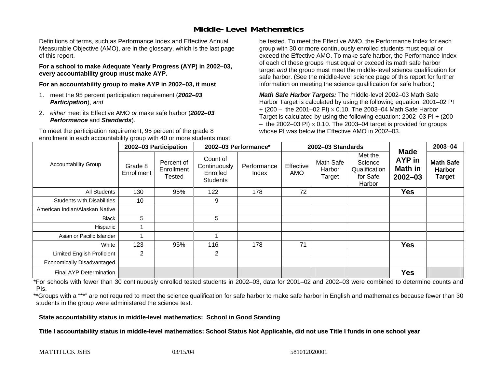#### **Middle-Level Mathematics**

Definitions of terms, such as Performance Index and Effective Annual Measurable Objective (AMO), are in the glossary, which is the last page of this report.

**For a school to make Adequate Yearly Progress (AYP) in 2002–03, every accountability group must make AYP.** 

**For an accountability group to make AYP in 2002–03, it must** 

- 1. meet the 95 percent participation requirement (*2002–03 Participation*), *and*
- 2. *either* meet its Effective AMO *or* make safe harbor (*2002–03 Performance* and *Standards*).

To meet the participation requirement, 95 percent of the grade 8 enrollment in each accountability group with 40 or more students must

be tested. To meet the Effective AMO, the Performance Index for each group with 30 or more continuously enrolled students must equal or exceed the Effective AMO. To make safe harbor, the Performance Index of each of these groups must equal or exceed its math safe harbor target *and* the group must meet the middle-level science qualification for safe harbor. (See the middle-level science page of this report for further information on meeting the science qualification for safe harbor.)

*Math Safe Harbor Targets:* The middle-level 2002–03 Math Safe Harbor Target is calculated by using the following equation: 2001–02 PI + (200 – the 2001–02 PI) × 0.10. The 2003–04 Math Safe Harbor Target is calculated by using the following equation: 2002–03 PI + (200  $-$  the 2002–03 PI)  $\times$  0.10. The 2003–04 target is provided for groups whose PI was below the Effective AMO in 2002–03

| <b>Accountability Group</b>       | 2002-03 Participation |                                           | 2002-03 Performance*                                    |                      | 2002-03 Standards |                               |                                                           |                                                        | $2003 - 04$                                        |
|-----------------------------------|-----------------------|-------------------------------------------|---------------------------------------------------------|----------------------|-------------------|-------------------------------|-----------------------------------------------------------|--------------------------------------------------------|----------------------------------------------------|
|                                   | Grade 8<br>Enrollment | Percent of<br>Enrollment<br><b>Tested</b> | Count of<br>Continuously<br>Enrolled<br><b>Students</b> | Performance<br>Index | Effective<br>AMO  | Math Safe<br>Harbor<br>Target | Met the<br>Science<br>Qualification<br>for Safe<br>Harbor | <b>Made</b><br><b>AYP</b> in<br>Math in<br>$2002 - 03$ | <b>Math Safe</b><br><b>Harbor</b><br><b>Target</b> |
| <b>All Students</b>               | 130                   | 95%                                       | 122                                                     | 178                  | 72                |                               |                                                           | <b>Yes</b>                                             |                                                    |
| <b>Students with Disabilities</b> | 10                    |                                           | 9                                                       |                      |                   |                               |                                                           |                                                        |                                                    |
| American Indian/Alaskan Native    |                       |                                           |                                                         |                      |                   |                               |                                                           |                                                        |                                                    |
| <b>Black</b>                      | 5                     |                                           | 5                                                       |                      |                   |                               |                                                           |                                                        |                                                    |
| Hispanic                          |                       |                                           |                                                         |                      |                   |                               |                                                           |                                                        |                                                    |
| Asian or Pacific Islander         |                       |                                           |                                                         |                      |                   |                               |                                                           |                                                        |                                                    |
| White                             | 123                   | 95%                                       | 116                                                     | 178                  | 71                |                               |                                                           | <b>Yes</b>                                             |                                                    |
| <b>Limited English Proficient</b> | $\overline{2}$        |                                           | $\overline{2}$                                          |                      |                   |                               |                                                           |                                                        |                                                    |
| Economically Disadvantaged        |                       |                                           |                                                         |                      |                   |                               |                                                           |                                                        |                                                    |
| <b>Final AYP Determination</b>    |                       |                                           |                                                         |                      |                   |                               |                                                           | <b>Yes</b>                                             |                                                    |

\*For schools with fewer than 30 continuously enrolled tested students in 2002–03, data for 2001–02 and 2002–03 were combined to determine counts and PIs.

\*\*Groups with a "\*\*" are not required to meet the science qualification for safe harbor to make safe harbor in English and mathematics because fewer than 30 students in the group were administered the science test.

**State accountability status in middle-level mathematics: School in Good Standing** 

Title I accountability status in middle-level mathematics: School Status Not Applicable, did not use Title I funds in one school year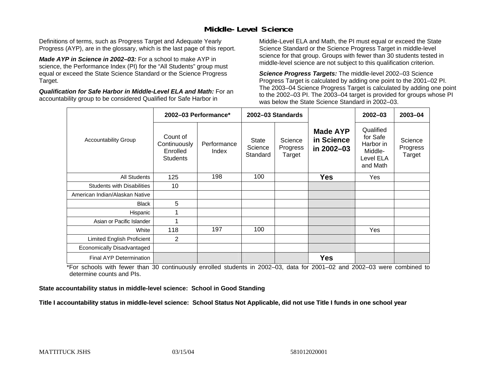### **Middle-Level Science**

Definitions of terms, such as Progress Target and Adequate Yearly Progress (AYP), are in the glossary, which is the last page of this report.

*Made AYP in Science in 2002–03:* For a school to make AYP in science, the Performance Index (PI) for the "All Students" group must equal or exceed the State Science Standard or the Science Progress Target.

*Qualification for Safe Harbor in Middle-Level ELA and Math:* For an accountability group to be considered Qualified for Safe Harbor in

Middle-Level ELA and Math, the PI must equal or exceed the State Science Standard or the Science Progress Target in middle-level science for that group. Groups with fewer than 30 students tested in middle-level science are not subject to this qualification criterion.

*Science Progress Targets:* The middle-level 2002–03 Science Progress Target is calculated by adding one point to the 2001–02 PI. The 2003–04 Science Progress Target is calculated by adding one point to the 2002–03 PI. The 2003–04 target is provided for groups whose PI was below the State Science Standard in 2002–03.

|                                   |                                                         | 2002-03 Performance* |                              | 2002-03 Standards             |                                             | $2002 - 03$                                                            | $2003 - 04$                   |
|-----------------------------------|---------------------------------------------------------|----------------------|------------------------------|-------------------------------|---------------------------------------------|------------------------------------------------------------------------|-------------------------------|
| <b>Accountability Group</b>       | Count of<br>Continuously<br>Enrolled<br><b>Students</b> | Performance<br>Index | State<br>Science<br>Standard | Science<br>Progress<br>Target | <b>Made AYP</b><br>in Science<br>in 2002-03 | Qualified<br>for Safe<br>Harbor in<br>Middle-<br>Level ELA<br>and Math | Science<br>Progress<br>Target |
| <b>All Students</b>               | 125                                                     | 198                  | 100                          |                               | <b>Yes</b>                                  | Yes                                                                    |                               |
| <b>Students with Disabilities</b> | 10                                                      |                      |                              |                               |                                             |                                                                        |                               |
| American Indian/Alaskan Native    |                                                         |                      |                              |                               |                                             |                                                                        |                               |
| <b>Black</b>                      | 5                                                       |                      |                              |                               |                                             |                                                                        |                               |
| Hispanic                          |                                                         |                      |                              |                               |                                             |                                                                        |                               |
| Asian or Pacific Islander         |                                                         |                      |                              |                               |                                             |                                                                        |                               |
| White                             | 118                                                     | 197                  | 100                          |                               |                                             | Yes                                                                    |                               |
| Limited English Proficient        | 2                                                       |                      |                              |                               |                                             |                                                                        |                               |
| Economically Disadvantaged        |                                                         |                      |                              |                               |                                             |                                                                        |                               |
| <b>Final AYP Determination</b>    |                                                         |                      |                              |                               | <b>Yes</b>                                  |                                                                        |                               |

\*For schools with fewer than 30 continuously enrolled students in 2002–03, data for 2001–02 and 2002–03 were combined to determine counts and PIs.

**State accountability status in middle-level science: School in Good Standing** 

Title I accountability status in middle-level science: School Status Not Applicable, did not use Title I funds in one school year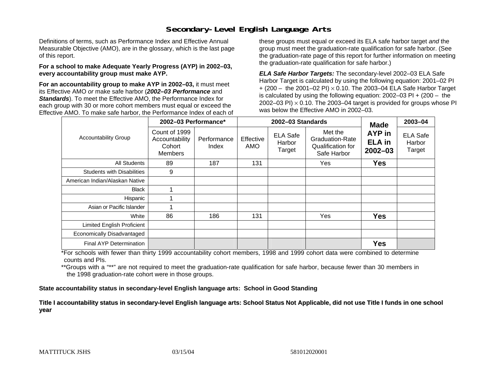### **Secondary-Level English Language Arts**

Definitions of terms, such as Performance Index and Effective Annual Measurable Objective (AMO), are in the glossary, which is the last page of this report.

#### **For a school to make Adequate Yearly Progress (AYP) in 2002–03, every accountability group must make AYP.**

**For an accountability group to make AYP in 2002–03,** it must meet its Effective AMO *or* make safe harbor (*2002–03 Performance* and *Standards*). To meet the Effective AMO, the Performance Index for each group with 30 or more cohort members must equal or exceed the Effective AMO. To make safe harbor, the Performance Index of each of these groups must equal or exceed its ELA safe harbor target *and* the group must meet the graduation-rate qualification for safe harbor. (See the graduation-rate page of this report for further information on meeting the graduation-rate qualification for safe harbor.)

*ELA Safe Harbor Targets:* The secondary-level 2002–03 ELA Safe Harbor Target is calculated by using the following equation: 2001–02 PI + (200 – the 2001–02 PI) <sup>×</sup> 0.10. The 2003–04 ELA Safe Harbor Target is calculated by using the following equation: 2002–03 PI + (200 – the 2002–03 PI)  $\times$  0.10. The 2003–04 target is provided for groups whose PI was below the Effective AMO in 2002–03.

|                                   | 2002-03 Performance*                                        |                      |                  | 2002-03 Standards                   | <b>Made</b>                                                           | 2003-04                                |                                     |
|-----------------------------------|-------------------------------------------------------------|----------------------|------------------|-------------------------------------|-----------------------------------------------------------------------|----------------------------------------|-------------------------------------|
| <b>Accountability Group</b>       | Count of 1999<br>Accountability<br>Cohort<br><b>Members</b> | Performance<br>Index | Effective<br>AMO | <b>ELA Safe</b><br>Harbor<br>Target | Met the<br><b>Graduation-Rate</b><br>Qualification for<br>Safe Harbor | AYP in<br><b>ELA</b> in<br>$2002 - 03$ | <b>ELA Safe</b><br>Harbor<br>Target |
| All Students                      | 89                                                          | 187                  | 131              |                                     | Yes                                                                   | <b>Yes</b>                             |                                     |
| <b>Students with Disabilities</b> | 9                                                           |                      |                  |                                     |                                                                       |                                        |                                     |
| American Indian/Alaskan Native    |                                                             |                      |                  |                                     |                                                                       |                                        |                                     |
| <b>Black</b>                      |                                                             |                      |                  |                                     |                                                                       |                                        |                                     |
| Hispanic                          |                                                             |                      |                  |                                     |                                                                       |                                        |                                     |
| Asian or Pacific Islander         |                                                             |                      |                  |                                     |                                                                       |                                        |                                     |
| White                             | 86                                                          | 186                  | 131              |                                     | Yes                                                                   | <b>Yes</b>                             |                                     |
| Limited English Proficient        |                                                             |                      |                  |                                     |                                                                       |                                        |                                     |
| Economically Disadvantaged        |                                                             |                      |                  |                                     |                                                                       |                                        |                                     |
| <b>Final AYP Determination</b>    |                                                             |                      |                  |                                     |                                                                       | <b>Yes</b>                             |                                     |

\*For schools with fewer than thirty 1999 accountability cohort members, 1998 and 1999 cohort data were combined to determine counts and PIs.

\*\*Groups with a "\*\*" are not required to meet the graduation-rate qualification for safe harbor, because fewer than 30 members in the 1998 graduation-rate cohort were in those groups.

**State accountability status in secondary-level English language arts: School in Good Standing** 

Title I accountability status in secondary-level English language arts: School Status Not Applicable, did not use Title I funds in one school **y ear**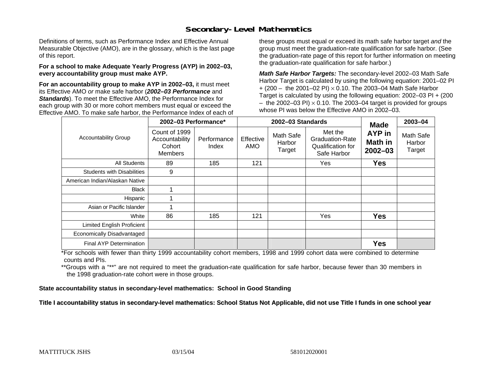### **Secondary-Level Mathematics**

Definitions of terms, such as Performance Index and Effective Annual Measurable Objective (AMO), are in the glossary, which is the last page of this report.

#### **For a school to make Adequate Yearly Progress (AYP) in 2002–03, every accountability group must make AYP.**

**For an accountability group to make AYP in 2002–03,** it must meet its Effective AMO *or* make safe harbor (*2002–03 Performance* and *Standards*). To meet the Effective AMO, the Performance Index for each group with 30 or more cohort members must equal or exceed the Effective AMO. To make safe harbor, the Performance Index of each of these groups must equal or exceed its math safe harbor target *and* the group must meet the graduation-rate qualification for safe harbor. (See the graduation-rate page of this report for further information on meeting the graduation-rate qualification for safe harbor.)

*Math Safe Harbor Targets:* The secondary-level 2002–03 Math Safe Harbor Target is calculated by using the following equation: 2001–02 PI + (200 – the 2001–02 PI) × 0.10. The 2003–04 Math Safe Harbor Target is calculated by using the following equation: 2002–03 PI + (200  $-$  the 2002–03 PI)  $\times$  0.10. The 2003–04 target is provided for groups whose PI was below the Effective AMO in 2002–03.

|                                   | 2002-03 Performance*                                                                |     |                                                   | 2002-03 Standards | <b>Made</b>                                                    | 2003-04                          |                               |
|-----------------------------------|-------------------------------------------------------------------------------------|-----|---------------------------------------------------|-------------------|----------------------------------------------------------------|----------------------------------|-------------------------------|
| <b>Accountability Group</b>       | Count of 1999<br>Accountability<br>Performance<br>Cohort<br>Index<br><b>Members</b> |     | Math Safe<br>Effective<br>Harbor<br>AMO<br>Target |                   | Met the<br>Graduation-Rate<br>Qualification for<br>Safe Harbor | AYP in<br>Math in<br>$2002 - 03$ | Math Safe<br>Harbor<br>Target |
| All Students                      | 89                                                                                  | 185 | 121                                               |                   | Yes                                                            | <b>Yes</b>                       |                               |
| <b>Students with Disabilities</b> | 9                                                                                   |     |                                                   |                   |                                                                |                                  |                               |
| American Indian/Alaskan Native    |                                                                                     |     |                                                   |                   |                                                                |                                  |                               |
| <b>Black</b>                      |                                                                                     |     |                                                   |                   |                                                                |                                  |                               |
| Hispanic                          |                                                                                     |     |                                                   |                   |                                                                |                                  |                               |
| Asian or Pacific Islander         |                                                                                     |     |                                                   |                   |                                                                |                                  |                               |
| White                             | 86                                                                                  | 185 | 121                                               |                   | Yes                                                            | <b>Yes</b>                       |                               |
| Limited English Proficient        |                                                                                     |     |                                                   |                   |                                                                |                                  |                               |
| Economically Disadvantaged        |                                                                                     |     |                                                   |                   |                                                                |                                  |                               |
| <b>Final AYP Determination</b>    |                                                                                     |     |                                                   |                   |                                                                | <b>Yes</b>                       |                               |

\*For schools with fewer than thirty 1999 accountability cohort members, 1998 and 1999 cohort data were combined to determine counts and PIs.

\*\*Groups with a "\*\*" are not required to meet the graduation-rate qualification for safe harbor, because fewer than 30 members in the 1998 graduation-rate cohort were in those groups.

**State accountability status in secondary-level mathematics: School in Good Standing** 

Title I accountability status in secondary-level mathematics: School Status Not Applicable, did not use Title I funds in one school year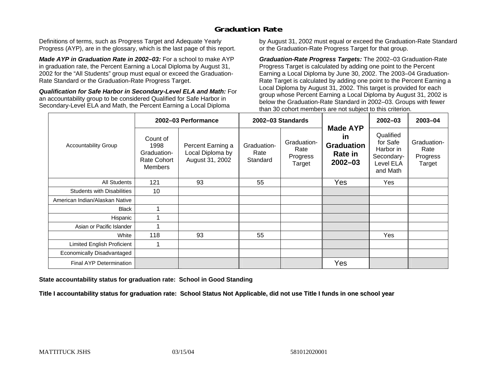### **Graduation Rate**

Definitions of terms, such as Progress Target and Adequate Yearly Progress (AYP), are in the glossary, which is the last page of this report.

*Made AYP in Graduation Rate in 2002–03:* For a school to make AYP in graduation rate, the Percent Earning a Local Diploma by August 31, 2002 for the "All Students" group must equal or exceed the Graduation-Rate Standard or the Graduation-Rate Progress Target.

*Qualification for Safe Harbor in Secondary-Level ELA and Math:* For an accountability group to be considered Qualified for Safe Harbor in Secondary-Level ELA and Math, the Percent Earning a Local Diploma

by August 31, 2002 must equal or exceed the Graduation-Rate Standard or the Graduation-Rate Progress Target for that group.

*Graduation-Rate Progress Targets:* The 2002–03 Graduation-Rate Progress Target is calculated by adding one point to the Percent Earning a Local Diploma by June 30, 2002. The 2003–04 Graduation-Rate Target is calculated by adding one point to the Percent Earning a Local Diploma by August 31, 2002. This target is provided for each group whose Percent Earning a Local Diploma by August 31, 2002 is below the Graduation-Rate Standard in 2002–03. Groups with fewer than 30 cohort members are not subject to this criterion.

|                                   |                                                                         | 2002-03 Performance                                      |                                 | 2002-03 Standards                         |                                                                             | 2002-03                                                                   | 2003-04                                   |
|-----------------------------------|-------------------------------------------------------------------------|----------------------------------------------------------|---------------------------------|-------------------------------------------|-----------------------------------------------------------------------------|---------------------------------------------------------------------------|-------------------------------------------|
| <b>Accountability Group</b>       | Count of<br>1998<br>Graduation-<br><b>Rate Cohort</b><br><b>Members</b> | Percent Earning a<br>Local Diploma by<br>August 31, 2002 | Graduation-<br>Rate<br>Standard | Graduation-<br>Rate<br>Progress<br>Target | <b>Made AYP</b><br>in<br><b>Graduation</b><br><b>Rate in</b><br>$2002 - 03$ | Qualified<br>for Safe<br>Harbor in<br>Secondary-<br>Level ELA<br>and Math | Graduation-<br>Rate<br>Progress<br>Target |
| All Students                      | 121                                                                     | 93                                                       | 55                              |                                           | Yes                                                                         | Yes                                                                       |                                           |
| <b>Students with Disabilities</b> | 10                                                                      |                                                          |                                 |                                           |                                                                             |                                                                           |                                           |
| American Indian/Alaskan Native    |                                                                         |                                                          |                                 |                                           |                                                                             |                                                                           |                                           |
| <b>Black</b>                      |                                                                         |                                                          |                                 |                                           |                                                                             |                                                                           |                                           |
| Hispanic                          |                                                                         |                                                          |                                 |                                           |                                                                             |                                                                           |                                           |
| Asian or Pacific Islander         |                                                                         |                                                          |                                 |                                           |                                                                             |                                                                           |                                           |
| White                             | 118                                                                     | 93                                                       | 55                              |                                           |                                                                             | Yes                                                                       |                                           |
| Limited English Proficient        | 1                                                                       |                                                          |                                 |                                           |                                                                             |                                                                           |                                           |
| Economically Disadvantaged        |                                                                         |                                                          |                                 |                                           |                                                                             |                                                                           |                                           |
| Final AYP Determination           |                                                                         |                                                          |                                 |                                           | Yes                                                                         |                                                                           |                                           |

**State accountability status for graduation rate: School in Good Standing** 

Title I accountability status for graduation rate: School Status Not Applicable, did not use Title I funds in one school year